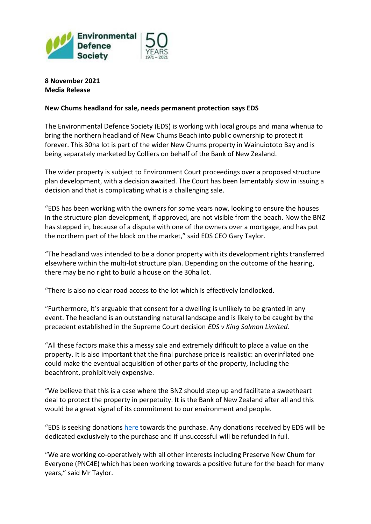

**8 November 2021 Media Release**

## **New Chums headland for sale, needs permanent protection says EDS**

The Environmental Defence Society (EDS) is working with local groups and mana whenua to bring the northern headland of New Chums Beach into public ownership to protect it forever. This 30ha lot is part of the wider New Chums property in Wainuiototo Bay and is being separately marketed by Colliers on behalf of the Bank of New Zealand.

The wider property is subject to Environment Court proceedings over a proposed structure plan development, with a decision awaited. The Court has been lamentably slow in issuing a decision and that is complicating what is a challenging sale.

"EDS has been working with the owners for some years now, looking to ensure the houses in the structure plan development, if approved, are not visible from the beach. Now the BNZ has stepped in, because of a dispute with one of the owners over a mortgage, and has put the northern part of the block on the market," said EDS CEO Gary Taylor.

"The headland was intended to be a donor property with its development rights transferred elsewhere within the multi-lot structure plan. Depending on the outcome of the hearing, there may be no right to build a house on the 30ha lot.

"There is also no clear road access to the lot which is effectively landlocked.

"Furthermore, it's arguable that consent for a dwelling is unlikely to be granted in any event. The headland is an outstanding natural landscape and is likely to be caught by the precedent established in the Supreme Court decision *EDS v King Salmon Limited.* 

"All these factors make this a messy sale and extremely difficult to place a value on the property. It is also important that the final purchase price is realistic: an overinflated one could make the eventual acquisition of other parts of the property, including the beachfront, prohibitively expensive.

"We believe that this is a case where the BNZ should step up and facilitate a sweetheart deal to protect the property in perpetuity. It is the Bank of New Zealand after all and this would be a great signal of its commitment to our environment and people.

"EDS is seeking donations [here](https://www.eds.org.nz/support-us/donations/) towards the purchase. Any donations received by EDS will be dedicated exclusively to the purchase and if unsuccessful will be refunded in full.

"We are working co-operatively with all other interests including Preserve New Chum for Everyone (PNC4E) which has been working towards a positive future for the beach for many years," said Mr Taylor.